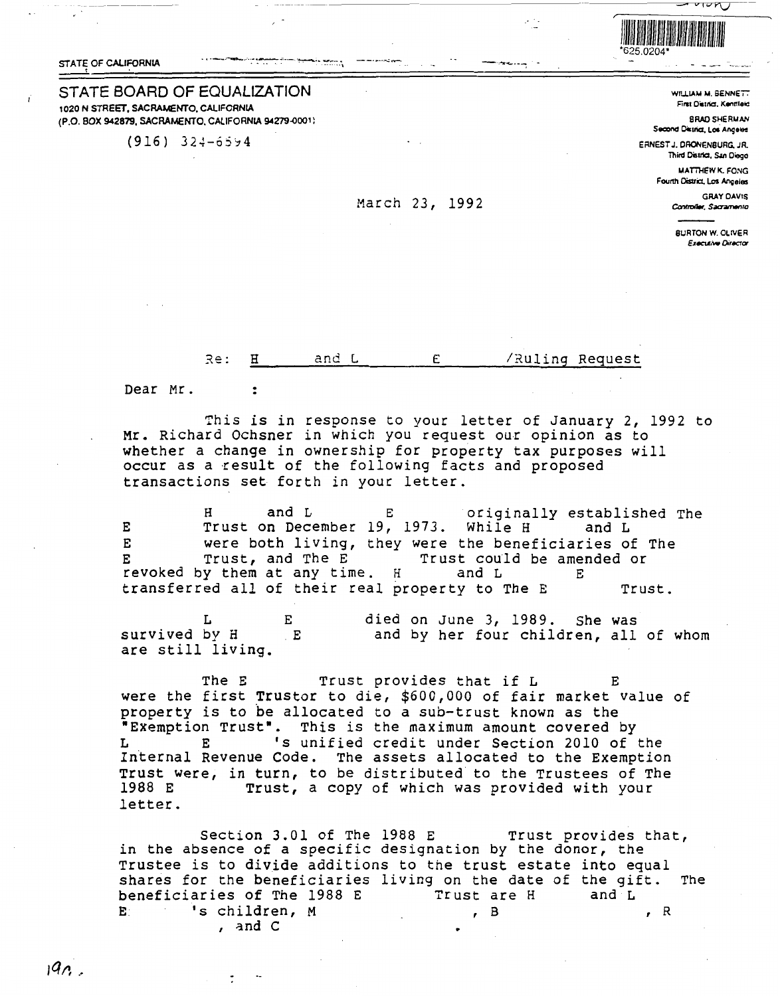STATE OF CALIFORNIA



WILLIAM M. BENNETT First District, Kentfleid

**BRAD SHERMAN** Second District, Los Angeles

ERNEST J. DRONENBURG, JR. Third District, San Diego

> **MATTHEW K. FONG** Fourth District, Los Angeles

> > **GRAY DAVIS** Controller, Sacramento

**BURTON W. OLIVER Executive Director** 

STATE BOARD OF EQUALIZATION 1020 N STREET, SACRAMENTO, CALIFORNIA (P.O. BOX 942879, SACRAMENTO, CALIFORNIA 94279-0001)

 $(916) 324 - 6594$ 

## March 23, 1992

E  $Re:$ Ħ and L /Ruling Request

Dear Mr.

 $\cdot$ 

 $\ddot{\phantom{0}}$ 

This is in response to your letter of January 2, 1992 to Mr. Richard Ochsner in which you request our opinion as to whether a change in ownership for property tax purposes will occur as a result of the following facts and proposed transactions set forth in your letter.

and L originally established The н Е Trust on December 19, 1973. While H E and L E were both living, they were the beneficiaries of The Trust, and The E E Trust could be amended or revoked by them at any time. H and L Е transferred all of their real property to The E Trust.

L F. died on June 3, 1989. She was survived by H and by her four children, all of whom  $E$ are still living.

The E Trust provides that if L Е were the first Trustor to die, \$600,000 of fair market value of property is to be allocated to a sub-trust known as the "Exemption Trust". This is the maximum amount covered by 's unified credit under Section 2010 of the Internal Revenue Code. The assets allocated to the Exemption Trust were, in turn, to be distributed to the Trustees of The 1988 E Trust, a copy of which was provided with your letter.

Section 3.01 of The 1988 E Trust provides that, in the absence of a specific designation by the donor, the Trustee is to divide additions to the trust estate into equal shares for the beneficiaries living on the date of the gift. The beneficiaries of The 1988 E Trust are H and  $L$ 's children, M E.  $, B$  $, R$ , and  $C$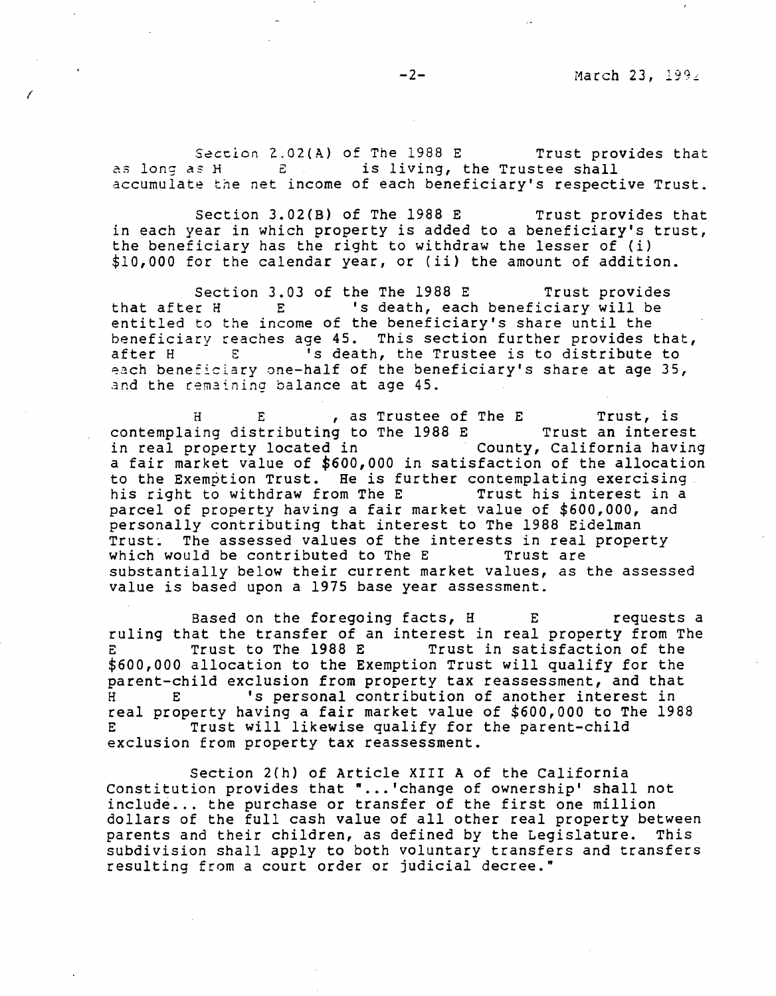Section 2.02(A) of The  $1988$  E Trust provides that as long as H E is living, the Trustee shall accumulate the net income of each beneficiary's respective Trust.

Section 3.02(B) of The 1988 E Trust provides that in each year in which property is added to a beneficiary's trust, the beneficiary has the right to withdraw the lesser of (i) \$10,000 for the calendar year, or (ii) the amount of addition.

Section 3.03 of the The 1988 E Trust provides that after H E 's death, each beneficiary will be entitled to the income of the beneficiary's share until the beneficiary reaches age 45. This section further provides that,<br>after H  $E$  's death, the Trustee is to distribute to <sup>'</sup>s death, the Trustee is to distribute to ~ach beneficiary one-half of the beneficiary's share at age 35, and the remaining balance at age 45.

H E , as Trustee of The E Trust, *is*  contemplaing distributing to The 1988 E Trust an interest<br>in real property located in Trust and County, California having in real property located in a fair market value of \$600,000 in satisfaction of the allocation to the Exemption Trust. He is further contemplating exercising<br>his right to withdraw from The E Trust his interest in a his right to withdraw from The E parcel of property having a fair market value of \$600,000, and personally contributing that interest to The 1988 Eidelman Trust. The assessed values of the interests in real property<br>which would be contributed to The E Trust are which would be contributed to The E substantially below their current market values, as the assessed value is based upon a 1975 base year assessment.

Based on the foregoing facts, H E Fequests a ruling that the transfer of an interest in real property from The<br>E Trust to The 1988 E Trust in satisfaction of the Trust in satisfaction of the \$600,000 allocation to the Exemption Trust will qualify for the parent-child exclusion from property tax reassessment, and that H E 's personal contribution of another interest in real property having a fair market value of \$600,000 to The 1988 Trust will likewise qualify for the parent-child exclusion from property tax reassessment.

Section 2(h) of Article XIII A of the California Constitution provides that "...'change of ownership' shall not include... the purchase or transfer of the first one million dollars of the full cash value of all other real property between parents and their children, as defined by the Legislature. This subdivision shall apply to both voluntary transfers and transfers resulting from a court order or judicial decree."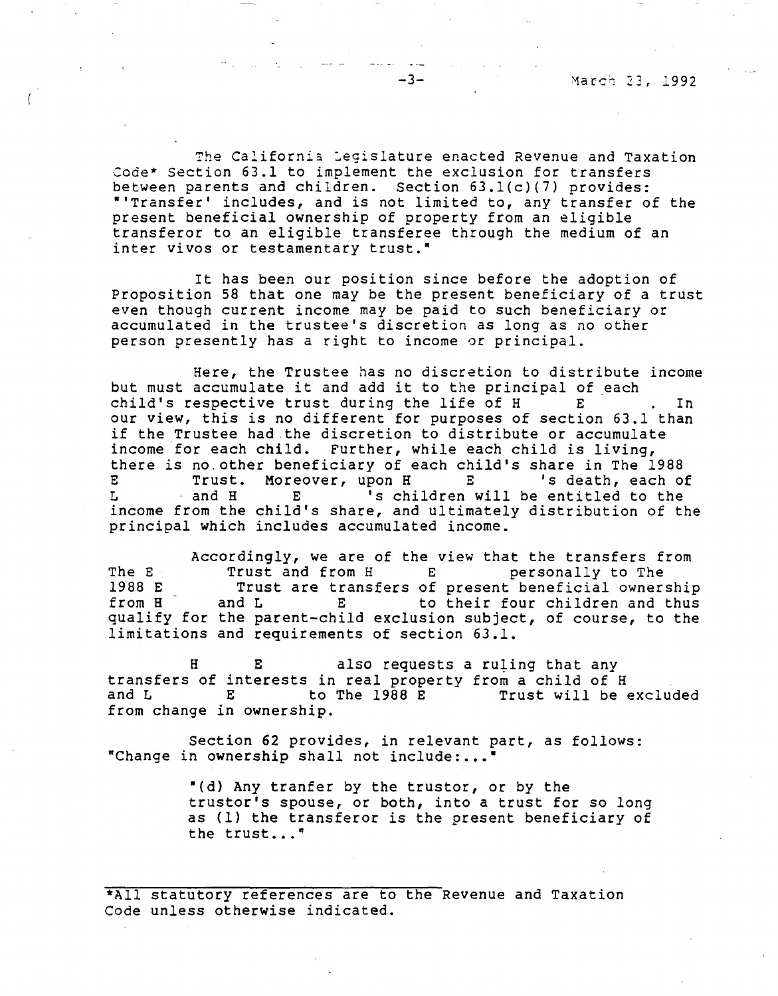The California Legislature enacted Revenue and Taxation Code\* Section 63.1 to implement the exclusion for transfers between parents and children. Section 63.l(c)(7) provides: ••Transfer' includes, and is not limited to, any transfer of the present beneficial ownership of property from an eligible transferor to an eligible transferee through the medium of an inter vivos or testamentary trust."

It has been our position since before the adoption of Proposition 58 that one may be the present beneficiary of a trust even though current income may be paid to such beneficiary or accumulated in the trustee's discretion as long as no other person presently has a right to income or principal.

Here, the Trustee has no discretion to distribute income but must accumulate it and add it to the principal of each child's respective trust during the life of H B . In our view, this is no different for purposes of section 63.1 than if the Trustee had.the discretion to distribute or accumulate income for each child. Further, while each child is living, there is no.other beneficiary of each child's share in The 1988 E Trust. Moreover, upon H E 's death, each of E Trust. Moreover, upon H E 's death, each of<br>L and H E 's children will be entitled to the income from the child's share, and ultimately distribution of the principal which includes accumulated income.

Accordingly, we are of the view that the transfers from<br>Trust and from H E personally to The The E Trust and from H E<br>1988 E Trust are transfers of 1988 E Trust are transfers of present beneficial ownership<br>from H and L E to their four children and thus E to their four children and thus qualify for the parent-child exclusion subject, of course, to the limitations and requirements of section 63.1.

H E also requests a ruling that any transfers of interests in real property from a child of H to The 1988 E Trust will be excluded from change in ownership.

Section 62 provides, in relevant part, as follows: "Change in ownership shall not include:..."

> "(d) Any tranfer by the trustor, or by the truster's spouse, or both, into a trust for so long as (1) the transferor is the present beneficiary of the trust..."

\*All statutory references are to the Revenue and Taxation Code unless otherwise indicated.